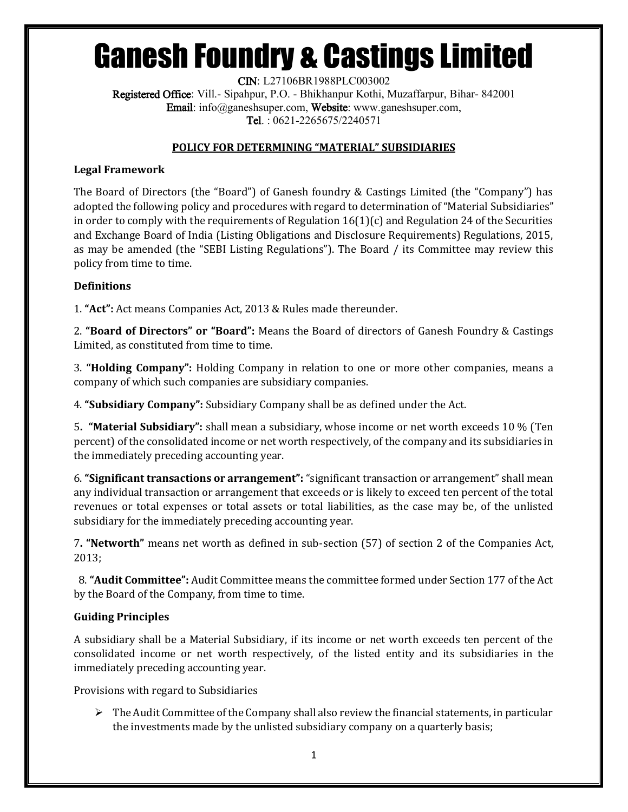# Ganesh Foundry & Castings Limited

CIN: L27106BR1988PLC003002 Registered Office: Vill.- Sipahpur, P.O. - Bhikhanpur Kothi, Muzaffarpur, Bihar- 842001 Email: info@ganeshsuper.com, Website: www.ganeshsuper.com, Tel. : 0621-2265675/2240571

### **POLICY FOR DETERMINING "MATERIAL" SUBSIDIARIES**

### **Legal Framework**

The Board of Directors (the "Board") of Ganesh foundry & Castings Limited (the "Company") has adopted the following policy and procedures with regard to determination of "Material Subsidiaries" in order to comply with the requirements of Regulation  $16(1)(c)$  and Regulation 24 of the Securities and Exchange Board of India (Listing Obligations and Disclosure Requirements) Regulations, 2015, as may be amended (the "SEBI Listing Regulations"). The Board / its Committee may review this policy from time to time.

### **Definitions**

1. **"Act":** Act means Companies Act, 2013 & Rules made thereunder.

2. **"Board of Directors" or "Board":** Means the Board of directors of Ganesh Foundry & Castings Limited, as constituted from time to time.

3. **"Holding Company":** Holding Company in relation to one or more other companies, means a company of which such companies are subsidiary companies.

4. **"Subsidiary Company":** Subsidiary Company shall be as defined under the Act.

5**. "Material Subsidiary":** shall mean a subsidiary, whose income or net worth exceeds 10 % (Ten percent) of the consolidated income or net worth respectively, of the company and its subsidiaries in the immediately preceding accounting year.

6. **"Significant transactions or arrangement":** "significant transaction or arrangement" shall mean any individual transaction or arrangement that exceeds or is likely to exceed ten percent of the total revenues or total expenses or total assets or total liabilities, as the case may be, of the unlisted subsidiary for the immediately preceding accounting year.

7**. "Networth"** means net worth as defined in sub-section (57) of section 2 of the Companies Act, 2013;

 8. **"Audit Committee":** Audit Committee means the committee formed under Section 177 of the Act by the Board of the Company, from time to time.

### **Guiding Principles**

A subsidiary shall be a Material Subsidiary, if its income or net worth exceeds ten percent of the consolidated income or net worth respectively, of the listed entity and its subsidiaries in the immediately preceding accounting year.

Provisions with regard to Subsidiaries

 $\triangleright$  The Audit Committee of the Company shall also review the financial statements, in particular the investments made by the unlisted subsidiary company on a quarterly basis;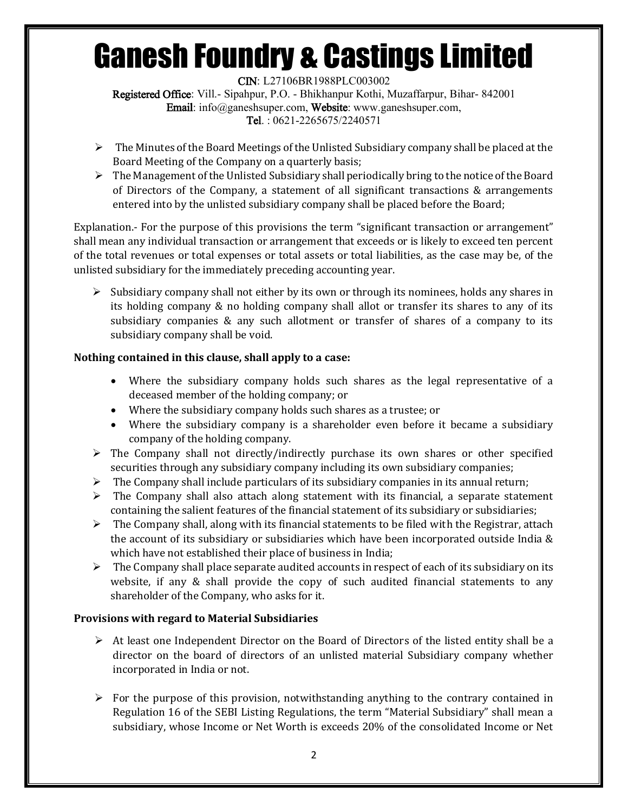# Ganesh Foundry & Castings Limited

CIN: L27106BR1988PLC003002 Registered Office: Vill.- Sipahpur, P.O. - Bhikhanpur Kothi, Muzaffarpur, Bihar- 842001 Email: info@ganeshsuper.com, Website: www.ganeshsuper.com, Tel. : 0621-2265675/2240571

- $\triangleright$  The Minutes of the Board Meetings of the Unlisted Subsidiary company shall be placed at the Board Meeting of the Company on a quarterly basis;
- $\triangleright$  The Management of the Unlisted Subsidiary shall periodically bring to the notice of the Board of Directors of the Company, a statement of all significant transactions & arrangements entered into by the unlisted subsidiary company shall be placed before the Board;

Explanation.- For the purpose of this provisions the term "significant transaction or arrangement" shall mean any individual transaction or arrangement that exceeds or is likely to exceed ten percent of the total revenues or total expenses or total assets or total liabilities, as the case may be, of the unlisted subsidiary for the immediately preceding accounting year.

 $\triangleright$  Subsidiary company shall not either by its own or through its nominees, holds any shares in its holding company & no holding company shall allot or transfer its shares to any of its subsidiary companies & any such allotment or transfer of shares of a company to its subsidiary company shall be void.

## **Nothing contained in this clause, shall apply to a case:**

- Where the subsidiary company holds such shares as the legal representative of a deceased member of the holding company; or
- Where the subsidiary company holds such shares as a trustee; or
- Where the subsidiary company is a shareholder even before it became a subsidiary company of the holding company.
- $\triangleright$  The Company shall not directly/indirectly purchase its own shares or other specified securities through any subsidiary company including its own subsidiary companies;
- $\triangleright$  The Company shall include particulars of its subsidiary companies in its annual return;
- $\triangleright$  The Company shall also attach along statement with its financial, a separate statement containing the salient features of the financial statement of its subsidiary or subsidiaries;
- $\triangleright$  The Company shall, along with its financial statements to be filed with the Registrar, attach the account of its subsidiary or subsidiaries which have been incorporated outside India & which have not established their place of business in India;
- $\triangleright$  The Company shall place separate audited accounts in respect of each of its subsidiary on its website, if any  $\&$  shall provide the copy of such audited financial statements to any shareholder of the Company, who asks for it.

## **Provisions with regard to Material Subsidiaries**

- $\triangleright$  At least one Independent Director on the Board of Directors of the listed entity shall be a director on the board of directors of an unlisted material Subsidiary company whether incorporated in India or not.
- $\triangleright$  For the purpose of this provision, notwithstanding anything to the contrary contained in Regulation 16 of the SEBI Listing Regulations, the term "Material Subsidiary" shall mean a subsidiary, whose Income or Net Worth is exceeds 20% of the consolidated Income or Net